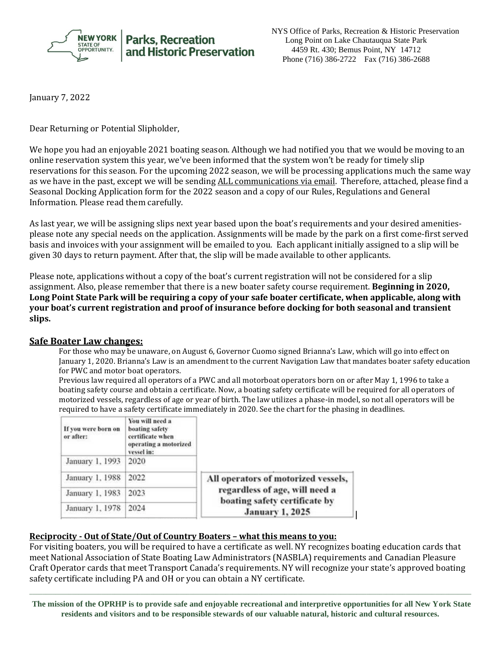

NYS Office of Parks, Recreation & Historic Preservation Long Point on Lake Chautauqua State Park 4459 Rt. 430; Bemus Point, NY 14712 Phone (716) 386-2722 Fax (716) 386-2688

January 7, 2022

Dear Returning or Potential Slipholder,

We hope you had an enjoyable 2021 boating season. Although we had notified you that we would be moving to an online reservation system this year, we've been informed that the system won't be ready for timely slip reservations for this season. For the upcoming 2022 season, we will be processing applications much the same way as we have in the past, except we will be sending ALL communications via email. Therefore, attached, please find a Seasonal Docking Application form for the 2022 season and a copy of our Rules, Regulations and General Information. Please read them carefully.

As last year, we will be assigning slips next year based upon the boat's requirements and your desired amenitiesplease note any special needs on the application. Assignments will be made by the park on a first come-first served basis and invoices with your assignment will be emailed to you. Each applicant initially assigned to a slip will be given 30 days to return payment. After that, the slip will be made available to other applicants.

Please note, applications without a copy of the boat's current registration will not be considered for a slip assignment. Also, please remember that there is a new boater safety course requirement. **Beginning in 2020, Long Point State Park will be requiring a copy of your safe boater certificate, when applicable, along with your boat's current registration and proof of insurance before docking for both seasonal and transient slips.**

## **Safe Boater Law changes:**

For those who may be unaware, on August 6, Governor Cuomo signed Brianna's Law, which will go into effect on January 1, 2020. Brianna's Law is an amendment to the current Navigation Law that mandates boater safety education for PWC and motor boat operators.

Previous law required all operators of a PWC and all motorboat operators born on or after May 1, 1996 to take a boating safety course and obtain a certificate. Now, a boating safety certificate will be required for all operators of motorized vessels, regardless of age or year of birth. The law utilizes a phase-in model, so not all operators will be required to have a safety certificate immediately in 2020. See the chart for the phasing in deadlines.

| If you were born on<br>or after: | You will need a<br>boating safety<br>certificate when<br>operating a motorized<br>vessel in: |                                                                                                                                  |
|----------------------------------|----------------------------------------------------------------------------------------------|----------------------------------------------------------------------------------------------------------------------------------|
| January 1, 1993                  | 2020                                                                                         |                                                                                                                                  |
| January 1, 1988                  | 2022                                                                                         | All operators of motorized vessels,<br>regardless of age, will need a<br>boating safety certificate by<br><b>January 1, 2025</b> |
| January 1, 1983                  | 2023                                                                                         |                                                                                                                                  |
| January 1, 1978                  | 2024                                                                                         |                                                                                                                                  |

## **Reciprocity - Out of State/Out of Country Boaters – what this means to you:**

For visiting boaters, you will be required to have a certificate as well. NY recognizes boating education cards that meet National Association of State Boating Law Administrators (NASBLA) requirements and Canadian Pleasure Craft Operator cards that meet Transport Canada's requirements. NY will recognize your state's approved boating safety certificate including PA and OH or you can obtain a NY certificate.

**The mission of the OPRHP is to provide safe and enjoyable recreational and interpretive opportunities for all New York State residents and visitors and to be responsible stewards of our valuable natural, historic and cultural resources.**

 $\Box$